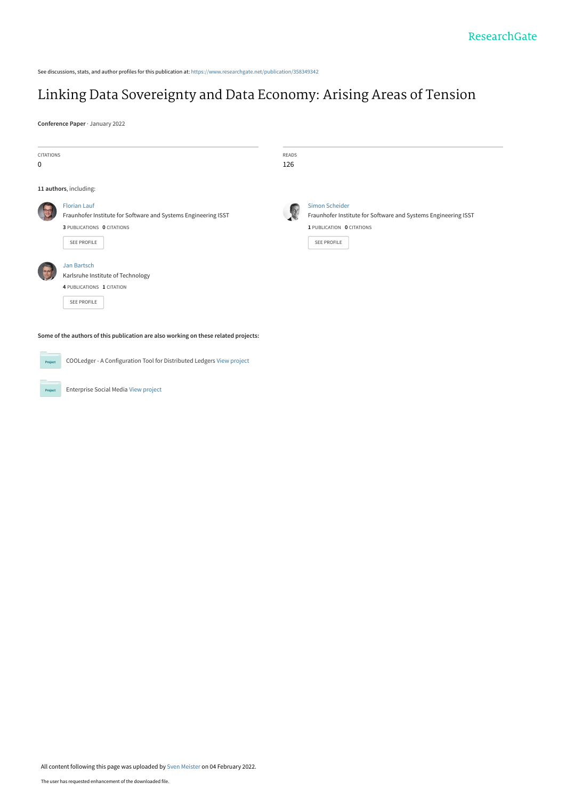See discussions, stats, and author profiles for this publication at: [https://www.researchgate.net/publication/358349342](https://www.researchgate.net/publication/358349342_Linking_Data_Sovereignty_and_Data_Economy_Arising_Areas_of_Tension?enrichId=rgreq-9c496ac0927f27643650ab4e46096534-XXX&enrichSource=Y292ZXJQYWdlOzM1ODM0OTM0MjtBUzoxMTE5NzE1MDAyOTc0MjEzQDE2NDM5NzIyNjgyMjg%3D&el=1_x_2&_esc=publicationCoverPdf)

# [Linking Data Sovereignty and Data Economy: Arising Areas of Tension](https://www.researchgate.net/publication/358349342_Linking_Data_Sovereignty_and_Data_Economy_Arising_Areas_of_Tension?enrichId=rgreq-9c496ac0927f27643650ab4e46096534-XXX&enrichSource=Y292ZXJQYWdlOzM1ODM0OTM0MjtBUzoxMTE5NzE1MDAyOTc0MjEzQDE2NDM5NzIyNjgyMjg%3D&el=1_x_3&_esc=publicationCoverPdf)

**Conference Paper** · January 2022

| <b>CITATIONS</b><br>0 |                                                                                                                                    | <b>READS</b><br>126 |                                                                                                                              |
|-----------------------|------------------------------------------------------------------------------------------------------------------------------------|---------------------|------------------------------------------------------------------------------------------------------------------------------|
|                       | 11 authors, including:                                                                                                             |                     |                                                                                                                              |
|                       | <b>Florian Lauf</b><br>Fraunhofer Institute for Software and Systems Engineering ISST<br>3 PUBLICATIONS 0 CITATIONS<br>SEE PROFILE |                     | Simon Scheider<br>Fraunhofer Institute for Software and Systems Engineering ISST<br>1 PUBLICATION 0 CITATIONS<br>SEE PROFILE |
|                       | <b>Jan Bartsch</b><br>Karlsruhe Institute of Technology<br>4 PUBLICATIONS 1 CITATION<br>SEE PROFILE                                |                     |                                                                                                                              |
|                       | Some of the authors of this publication are also working on these related projects:                                                |                     |                                                                                                                              |
| Project               | COOLedger - A Configuration Tool for Distributed Ledgers View project                                                              |                     |                                                                                                                              |

Enterprise Social Media [View project](https://www.researchgate.net/project/Enterprise-Social-Media?enrichId=rgreq-9c496ac0927f27643650ab4e46096534-XXX&enrichSource=Y292ZXJQYWdlOzM1ODM0OTM0MjtBUzoxMTE5NzE1MDAyOTc0MjEzQDE2NDM5NzIyNjgyMjg%3D&el=1_x_9&_esc=publicationCoverPdf)

**Project**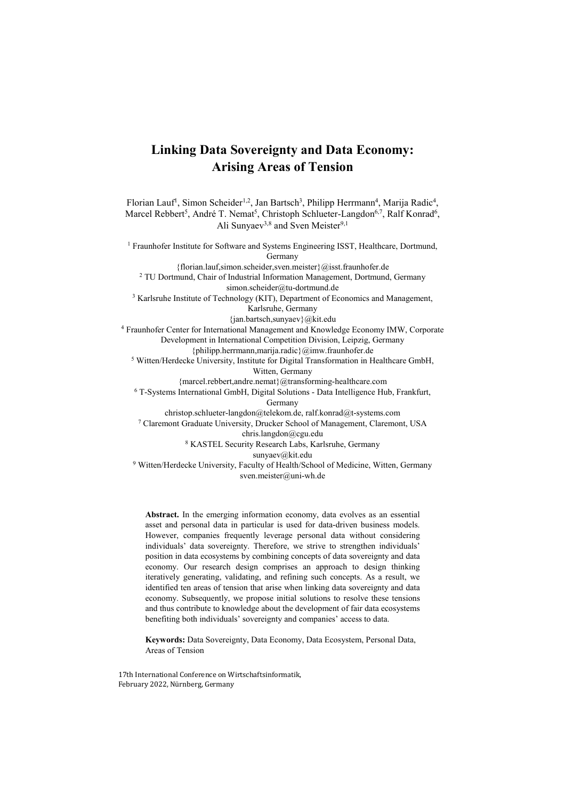# **Linking Data Sovereignty and Data Economy: Arising Areas of Tension**

Florian Lauf<sup>1</sup>, Simon Scheider<sup>1,2</sup>, Jan Bartsch<sup>3</sup>, Philipp Herrmann<sup>4</sup>, Marija Radic<sup>4</sup>, Marcel Rebbert<sup>5</sup>, André T. Nemat<sup>5</sup>, Christoph Schlueter-Langdon<sup>6,7</sup>, Ralf Konrad<sup>6</sup>, Ali Sunyaev<sup>3,8</sup> and Sven Meister<sup>9,1</sup>

<sup>1</sup> Fraunhofer Institute for Software and Systems Engineering ISST, Healthcare, Dortmund, Germany {florian.lauf,simon.scheider,sven.meister}@isst.fraunhofer.de <sup>2</sup> TU Dortmund, Chair of Industrial Information Management, Dortmund, Germany simon.scheider@tu-dortmund.de <sup>3</sup> Karlsruhe Institute of Technology (KIT), Department of Economics and Management, Karlsruhe, Germany {jan.bartsch,sunyaev}@kit.edu 4 Fraunhofer Center for International Management and Knowledge Economy IMW, Corporate Development in International Competition Division, Leipzig, Germany {philipp.herrmann,marija.radic}@imw.fraunhofer.de <sup>5</sup> Witten/Herdecke University, Institute for Digital Transformation in Healthcare GmbH, Witten, Germany {marcel.rebbert,andre.nemat}@transforming-healthcare.com 6 T-Systems International GmbH, Digital Solutions - Data Intelligence Hub, Frankfurt, Germany christop.schlueter-langdon@telekom.de, ralf.konrad@t-systems.com 7 Claremont Graduate University, Drucker School of Management, Claremont, USA chris.langdon@cgu.edu 8 KASTEL Security Research Labs, Karlsruhe, Germany sunyaev@kit.edu <sup>9</sup> Witten/Herdecke University, Faculty of Health/School of Medicine, Witten, Germany sven.meister@uni-wh.de

**Abstract.** In the emerging information economy, data evolves as an essential asset and personal data in particular is used for data-driven business models. However, companies frequently leverage personal data without considering individuals' data sovereignty. Therefore, we strive to strengthen individuals' position in data ecosystems by combining concepts of data sovereignty and data economy. Our research design comprises an approach to design thinking iteratively generating, validating, and refining such concepts. As a result, we identified ten areas of tension that arise when linking data sovereignty and data economy. Subsequently, we propose initial solutions to resolve these tensions and thus contribute to knowledge about the development of fair data ecosystems benefiting both individuals' sovereignty and companies' access to data.

**Keywords:** Data Sovereignty, Data Economy, Data Ecosystem, Personal Data, Areas of Tension

17th International Conference on Wirtschaftsinformatik, February 2022, Nürnberg, Germany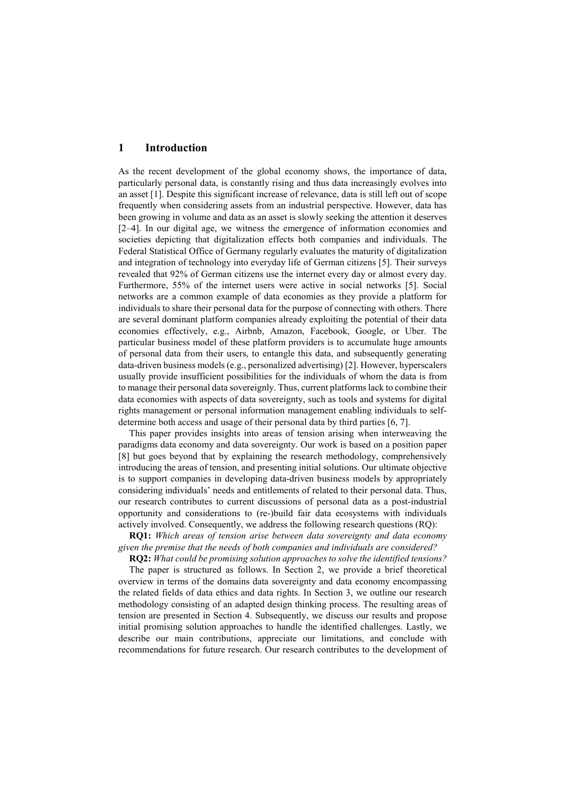#### **1 Introduction**

As the recent development of the global economy shows, the importance of data, particularly personal data, is constantly rising and thus data increasingly evolves into an asset [1]. Despite this significant increase of relevance, data is still left out of scope frequently when considering assets from an industrial perspective. However, data has been growing in volume and data as an asset is slowly seeking the attention it deserves [2–4]. In our digital age, we witness the emergence of information economies and societies depicting that digitalization effects both companies and individuals. The Federal Statistical Office of Germany regularly evaluates the maturity of digitalization and integration of technology into everyday life of German citizens [5]. Their surveys revealed that 92% of German citizens use the internet every day or almost every day. Furthermore, 55% of the internet users were active in social networks [5]. Social networks are a common example of data economies as they provide a platform for individuals to share their personal data for the purpose of connecting with others. There are several dominant platform companies already exploiting the potential of their data economies effectively, e.g., Airbnb, Amazon, Facebook, Google, or Uber. The particular business model of these platform providers is to accumulate huge amounts of personal data from their users, to entangle this data, and subsequently generating data-driven business models (e.g., personalized advertising) [2]. However, hyperscalers usually provide insufficient possibilities for the individuals of whom the data is from to manage their personal data sovereignly. Thus, current platforms lack to combine their data economies with aspects of data sovereignty, such as tools and systems for digital rights management or personal information management enabling individuals to selfdetermine both access and usage of their personal data by third parties [6, 7].

This paper provides insights into areas of tension arising when interweaving the paradigms data economy and data sovereignty. Our work is based on a position paper [8] but goes beyond that by explaining the research methodology, comprehensively introducing the areas of tension, and presenting initial solutions. Our ultimate objective is to support companies in developing data-driven business models by appropriately considering individuals' needs and entitlements of related to their personal data. Thus, our research contributes to current discussions of personal data as a post-industrial opportunity and considerations to (re-)build fair data ecosystems with individuals actively involved. Consequently, we address the following research questions (RQ):

**RQ1:** *Which areas of tension arise between data sovereignty and data economy given the premise that the needs of both companies and individuals are considered?*

**RQ2:** *What could be promising solution approaches to solve the identified tensions?* The paper is structured as follows. In Section 2, we provide a brief theoretical overview in terms of the domains data sovereignty and data economy encompassing the related fields of data ethics and data rights. In Section 3, we outline our research methodology consisting of an adapted design thinking process. The resulting areas of tension are presented in Section 4. Subsequently, we discuss our results and propose initial promising solution approaches to handle the identified challenges. Lastly, we describe our main contributions, appreciate our limitations, and conclude with recommendations for future research. Our research contributes to the development of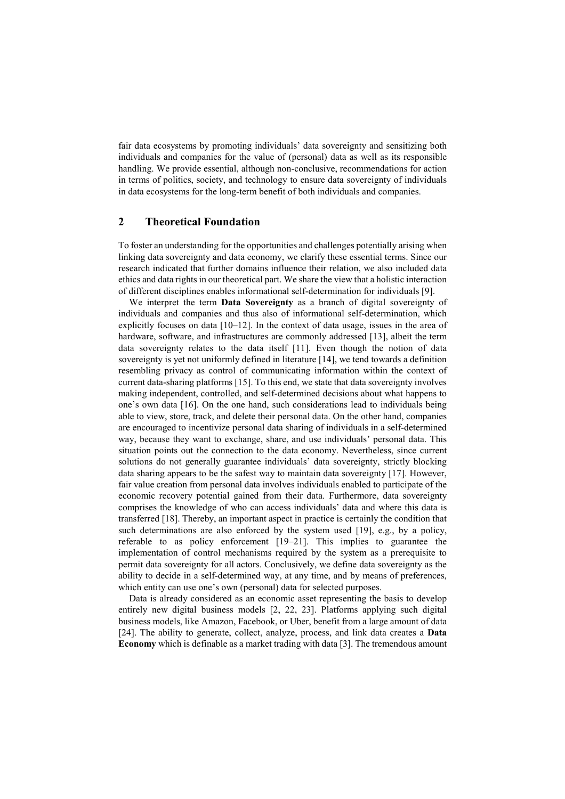fair data ecosystems by promoting individuals' data sovereignty and sensitizing both individuals and companies for the value of (personal) data as well as its responsible handling. We provide essential, although non-conclusive, recommendations for action in terms of politics, society, and technology to ensure data sovereignty of individuals in data ecosystems for the long-term benefit of both individuals and companies.

# **2 Theoretical Foundation**

To foster an understanding for the opportunities and challenges potentially arising when linking data sovereignty and data economy, we clarify these essential terms. Since our research indicated that further domains influence their relation, we also included data ethics and data rights in our theoretical part. We share the view that a holistic interaction of different disciplines enables informational self-determination for individuals [9].

We interpret the term **Data Sovereignty** as a branch of digital sovereignty of individuals and companies and thus also of informational self-determination, which explicitly focuses on data  $[10-12]$ . In the context of data usage, issues in the area of hardware, software, and infrastructures are commonly addressed [13], albeit the term data sovereignty relates to the data itself [11]. Even though the notion of data sovereignty is yet not uniformly defined in literature [14], we tend towards a definition resembling privacy as control of communicating information within the context of current data-sharing platforms [15]. To this end, we state that data sovereignty involves making independent, controlled, and self-determined decisions about what happens to one's own data [16]. On the one hand, such considerations lead to individuals being able to view, store, track, and delete their personal data. On the other hand, companies are encouraged to incentivize personal data sharing of individuals in a self-determined way, because they want to exchange, share, and use individuals' personal data. This situation points out the connection to the data economy. Nevertheless, since current solutions do not generally guarantee individuals' data sovereignty, strictly blocking data sharing appears to be the safest way to maintain data sovereignty [17]. However, fair value creation from personal data involves individuals enabled to participate of the economic recovery potential gained from their data. Furthermore, data sovereignty comprises the knowledge of who can access individuals' data and where this data is transferred [18]. Thereby, an important aspect in practice is certainly the condition that such determinations are also enforced by the system used [19], e.g., by a policy, referable to as policy enforcement [19–21]. This implies to guarantee the implementation of control mechanisms required by the system as a prerequisite to permit data sovereignty for all actors. Conclusively, we define data sovereignty as the ability to decide in a self-determined way, at any time, and by means of preferences, which entity can use one's own (personal) data for selected purposes.

Data is already considered as an economic asset representing the basis to develop entirely new digital business models [2, 22, 23]. Platforms applying such digital business models, like Amazon, Facebook, or Uber, benefit from a large amount of data [24]. The ability to generate, collect, analyze, process, and link data creates a **Data Economy** which is definable as a market trading with data [3]. The tremendous amount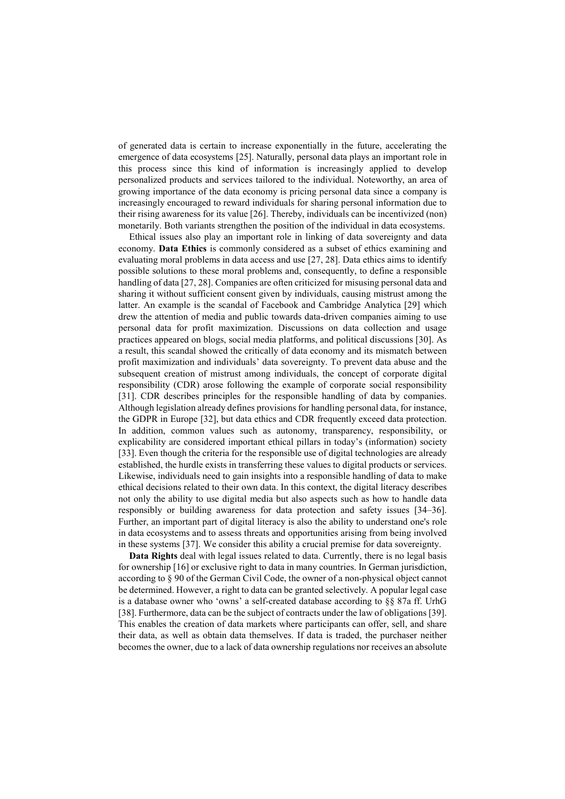of generated data is certain to increase exponentially in the future, accelerating the emergence of data ecosystems [25]. Naturally, personal data plays an important role in this process since this kind of information is increasingly applied to develop personalized products and services tailored to the individual. Noteworthy, an area of growing importance of the data economy is pricing personal data since a company is increasingly encouraged to reward individuals for sharing personal information due to their rising awareness for its value [26]. Thereby, individuals can be incentivized (non) monetarily. Both variants strengthen the position of the individual in data ecosystems.

Ethical issues also play an important role in linking of data sovereignty and data economy. **Data Ethics** is commonly considered as a subset of ethics examining and evaluating moral problems in data access and use [27, 28]. Data ethics aims to identify possible solutions to these moral problems and, consequently, to define a responsible handling of data [27, 28]. Companies are often criticized for misusing personal data and sharing it without sufficient consent given by individuals, causing mistrust among the latter. An example is the scandal of Facebook and Cambridge Analytica [29] which drew the attention of media and public towards data-driven companies aiming to use personal data for profit maximization. Discussions on data collection and usage practices appeared on blogs, social media platforms, and political discussions [30]. As a result, this scandal showed the critically of data economy and its mismatch between profit maximization and individuals' data sovereignty. To prevent data abuse and the subsequent creation of mistrust among individuals, the concept of corporate digital responsibility (CDR) arose following the example of corporate social responsibility [31]. CDR describes principles for the responsible handling of data by companies. Although legislation already defines provisions for handling personal data, for instance, the GDPR in Europe [32], but data ethics and CDR frequently exceed data protection. In addition, common values such as autonomy, transparency, responsibility, or explicability are considered important ethical pillars in today's (information) society [33]. Even though the criteria for the responsible use of digital technologies are already established, the hurdle exists in transferring these values to digital products or services. Likewise, individuals need to gain insights into a responsible handling of data to make ethical decisions related to their own data. In this context, the digital literacy describes not only the ability to use digital media but also aspects such as how to handle data responsibly or building awareness for data protection and safety issues [34–36]. Further, an important part of digital literacy is also the ability to understand one's role in data ecosystems and to assess threats and opportunities arising from being involved in these systems [37]. We consider this ability a crucial premise for data sovereignty.

**Data Rights** deal with legal issues related to data. Currently, there is no legal basis for ownership [16] or exclusive right to data in many countries. In German jurisdiction, according to § 90 of the German Civil Code, the owner of a non-physical object cannot be determined. However, a right to data can be granted selectively. A popular legal case is a database owner who 'owns' a self-created database according to §§ 87a ff. UrhG [38]. Furthermore, data can be the subject of contracts under the law of obligations [39]. This enables the creation of data markets where participants can offer, sell, and share their data, as well as obtain data themselves. If data is traded, the purchaser neither becomes the owner, due to a lack of data ownership regulations nor receives an absolute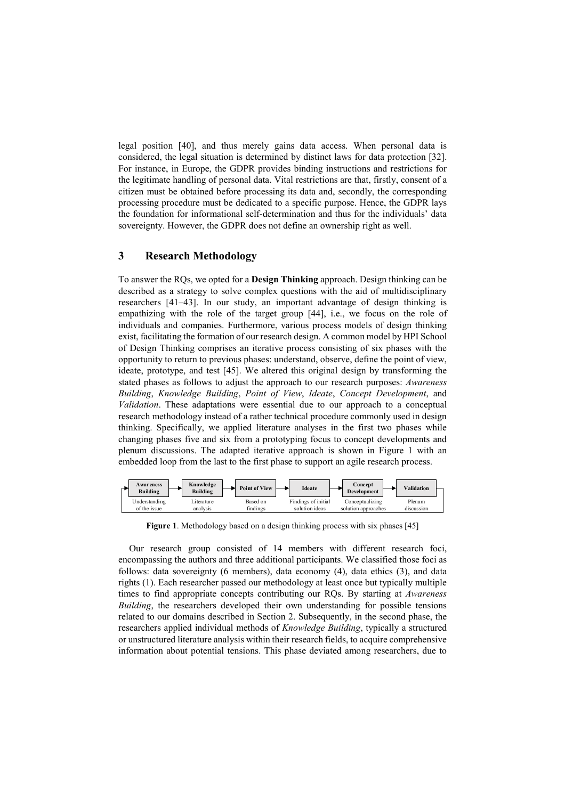legal position [40], and thus merely gains data access. When personal data is considered, the legal situation is determined by distinct laws for data protection [32]. For instance, in Europe, the GDPR provides binding instructions and restrictions for the legitimate handling of personal data. Vital restrictions are that, firstly, consent of a citizen must be obtained before processing its data and, secondly, the corresponding processing procedure must be dedicated to a specific purpose. Hence, the GDPR lays the foundation for informational self-determination and thus for the individuals' data sovereignty. However, the GDPR does not define an ownership right as well.

# **3 Research Methodology**

To answer the RQs, we opted for a **Design Thinking** approach. Design thinking can be described as a strategy to solve complex questions with the aid of multidisciplinary researchers [41–43]. In our study, an important advantage of design thinking is empathizing with the role of the target group [44], i.e., we focus on the role of individuals and companies. Furthermore, various process models of design thinking exist, facilitating the formation of our research design. A common model by HPI School of Design Thinking comprises an iterative process consisting of six phases with the opportunity to return to previous phases: understand, observe, define the point of view, ideate, prototype, and test [45]. We altered this original design by transforming the stated phases as follows to adjust the approach to our research purposes: *Awareness Building*, *Knowledge Building*, *Point of View*, *Ideate*, *Concept Development*, and *Validation*. These adaptations were essential due to our approach to a conceptual research methodology instead of a rather technical procedure commonly used in design thinking. Specifically, we applied literature analyses in the first two phases while changing phases five and six from a prototyping focus to concept developments and plenum discussions. The adapted iterative approach is shown in Figure 1 with an embedded loop from the last to the first phase to support an agile research process.



**Figure 1**. Methodology based on a design thinking process with six phases [45]

Our research group consisted of 14 members with different research foci, encompassing the authors and three additional participants. We classified those foci as follows: data sovereignty (6 members), data economy (4), data ethics (3), and data rights (1). Each researcher passed our methodology at least once but typically multiple times to find appropriate concepts contributing our RQs. By starting at *Awareness Building*, the researchers developed their own understanding for possible tensions related to our domains described in Section 2. Subsequently, in the second phase, the researchers applied individual methods of *Knowledge Building*, typically a structured or unstructured literature analysis within their research fields, to acquire comprehensive information about potential tensions. This phase deviated among researchers, due to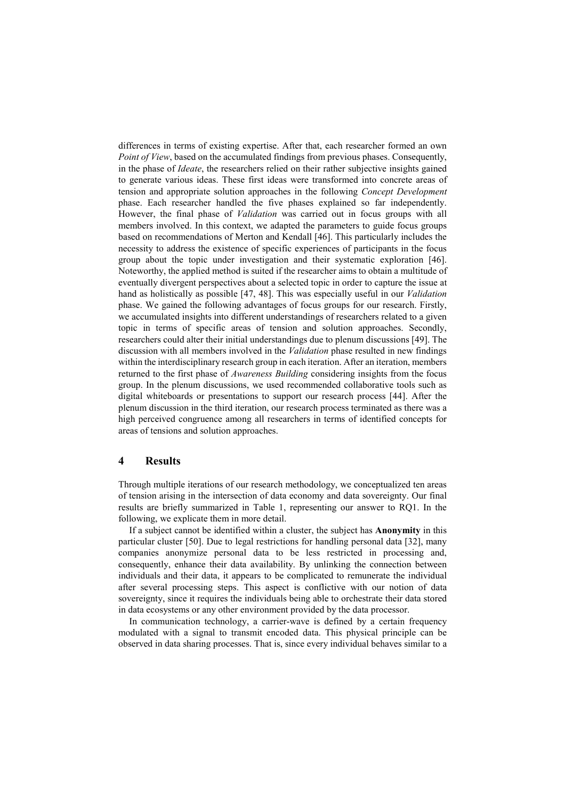differences in terms of existing expertise. After that, each researcher formed an own *Point of View*, based on the accumulated findings from previous phases. Consequently, in the phase of *Ideate*, the researchers relied on their rather subjective insights gained to generate various ideas. These first ideas were transformed into concrete areas of tension and appropriate solution approaches in the following *Concept Development* phase. Each researcher handled the five phases explained so far independently. However, the final phase of *Validation* was carried out in focus groups with all members involved. In this context, we adapted the parameters to guide focus groups based on recommendations of Merton and Kendall [46]. This particularly includes the necessity to address the existence of specific experiences of participants in the focus group about the topic under investigation and their systematic exploration [46]. Noteworthy, the applied method is suited if the researcher aims to obtain a multitude of eventually divergent perspectives about a selected topic in order to capture the issue at hand as holistically as possible [47, 48]. This was especially useful in our *Validation* phase. We gained the following advantages of focus groups for our research. Firstly, we accumulated insights into different understandings of researchers related to a given topic in terms of specific areas of tension and solution approaches. Secondly, researchers could alter their initial understandings due to plenum discussions [49]. The discussion with all members involved in the *Validation* phase resulted in new findings within the interdisciplinary research group in each iteration. After an iteration, members returned to the first phase of *Awareness Building* considering insights from the focus group. In the plenum discussions, we used recommended collaborative tools such as digital whiteboards or presentations to support our research process [44]. After the plenum discussion in the third iteration, our research process terminated as there was a high perceived congruence among all researchers in terms of identified concepts for areas of tensions and solution approaches.

#### **4 Results**

Through multiple iterations of our research methodology, we conceptualized ten areas of tension arising in the intersection of data economy and data sovereignty. Our final results are briefly summarized in Table 1, representing our answer to RQ1. In the following, we explicate them in more detail.

If a subject cannot be identified within a cluster, the subject has **Anonymity** in this particular cluster [50]. Due to legal restrictions for handling personal data [32], many companies anonymize personal data to be less restricted in processing and, consequently, enhance their data availability. By unlinking the connection between individuals and their data, it appears to be complicated to remunerate the individual after several processing steps. This aspect is conflictive with our notion of data sovereignty, since it requires the individuals being able to orchestrate their data stored in data ecosystems or any other environment provided by the data processor.

In communication technology, a carrier-wave is defined by a certain frequency modulated with a signal to transmit encoded data. This physical principle can be observed in data sharing processes. That is, since every individual behaves similar to a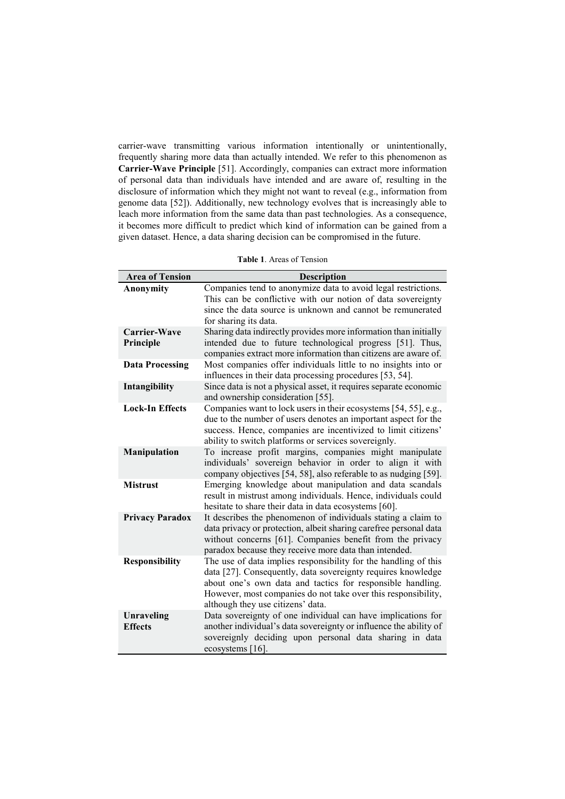carrier-wave transmitting various information intentionally or unintentionally, frequently sharing more data than actually intended. We refer to this phenomenon as **Carrier-Wave Principle** [51]. Accordingly, companies can extract more information of personal data than individuals have intended and are aware of, resulting in the disclosure of information which they might not want to reveal (e.g., information from genome data [52]). Additionally, new technology evolves that is increasingly able to leach more information from the same data than past technologies. As a consequence, it becomes more difficult to predict which kind of information can be gained from a given dataset. Hence, a data sharing decision can be compromised in the future.

**Table 1**. Areas of Tension

| <b>Area of Tension</b>       | <b>Description</b>                                                                                                                                                                                                                                                                                  |
|------------------------------|-----------------------------------------------------------------------------------------------------------------------------------------------------------------------------------------------------------------------------------------------------------------------------------------------------|
| <b>Anonymity</b>             | Companies tend to anonymize data to avoid legal restrictions.                                                                                                                                                                                                                                       |
|                              | This can be conflictive with our notion of data sovereignty<br>since the data source is unknown and cannot be remunerated                                                                                                                                                                           |
|                              | for sharing its data.                                                                                                                                                                                                                                                                               |
| Carrier-Wave                 | Sharing data indirectly provides more information than initially                                                                                                                                                                                                                                    |
| Principle                    | intended due to future technological progress [51]. Thus,                                                                                                                                                                                                                                           |
|                              | companies extract more information than citizens are aware of.                                                                                                                                                                                                                                      |
| <b>Data Processing</b>       | Most companies offer individuals little to no insights into or<br>influences in their data processing procedures [53, 54].                                                                                                                                                                          |
| Intangibility                | Since data is not a physical asset, it requires separate economic<br>and ownership consideration [55].                                                                                                                                                                                              |
| <b>Lock-In Effects</b>       | Companies want to lock users in their ecosystems [54, 55], e.g.,<br>due to the number of users denotes an important aspect for the<br>success. Hence, companies are incentivized to limit citizens'<br>ability to switch platforms or services sovereignly.                                         |
| Manipulation                 | To increase profit margins, companies might manipulate<br>individuals' sovereign behavior in order to align it with<br>company objectives [54, 58], also referable to as nudging [59].                                                                                                              |
| <b>Mistrust</b>              | Emerging knowledge about manipulation and data scandals<br>result in mistrust among individuals. Hence, individuals could<br>hesitate to share their data in data ecosystems [60].                                                                                                                  |
| <b>Privacy Paradox</b>       | It describes the phenomenon of individuals stating a claim to<br>data privacy or protection, albeit sharing carefree personal data<br>without concerns [61]. Companies benefit from the privacy<br>paradox because they receive more data than intended.                                            |
| <b>Responsibility</b>        | The use of data implies responsibility for the handling of this<br>data [27]. Consequently, data sovereignty requires knowledge<br>about one's own data and tactics for responsible handling.<br>However, most companies do not take over this responsibility,<br>although they use citizens' data. |
| Unraveling<br><b>Effects</b> | Data sovereignty of one individual can have implications for<br>another individual's data sovereignty or influence the ability of<br>sovereignly deciding upon personal data sharing in data<br>ecosystems [16].                                                                                    |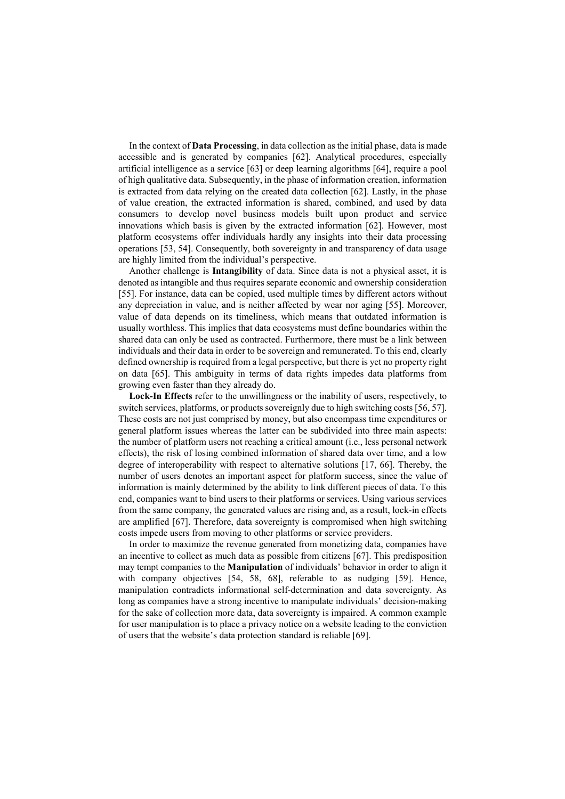In the context of **Data Processing**, in data collection as the initial phase, data is made accessible and is generated by companies [62]. Analytical procedures, especially artificial intelligence as a service [63] or deep learning algorithms [64], require a pool of high qualitative data. Subsequently, in the phase of information creation, information is extracted from data relying on the created data collection [62]. Lastly, in the phase of value creation, the extracted information is shared, combined, and used by data consumers to develop novel business models built upon product and service innovations which basis is given by the extracted information [62]. However, most platform ecosystems offer individuals hardly any insights into their data processing operations [53, 54]. Consequently, both sovereignty in and transparency of data usage are highly limited from the individual's perspective.

Another challenge is **Intangibility** of data. Since data is not a physical asset, it is denoted as intangible and thus requires separate economic and ownership consideration [55]. For instance, data can be copied, used multiple times by different actors without any depreciation in value, and is neither affected by wear nor aging [55]. Moreover, value of data depends on its timeliness, which means that outdated information is usually worthless. This implies that data ecosystems must define boundaries within the shared data can only be used as contracted. Furthermore, there must be a link between individuals and their data in order to be sovereign and remunerated. To this end, clearly defined ownership is required from a legal perspective, but there is yet no property right on data [65]. This ambiguity in terms of data rights impedes data platforms from growing even faster than they already do.

**Lock-In Effects** refer to the unwillingness or the inability of users, respectively, to switch services, platforms, or products sovereignly due to high switching costs [56, 57]. These costs are not just comprised by money, but also encompass time expenditures or general platform issues whereas the latter can be subdivided into three main aspects: the number of platform users not reaching a critical amount (i.e., less personal network effects), the risk of losing combined information of shared data over time, and a low degree of interoperability with respect to alternative solutions [17, 66]. Thereby, the number of users denotes an important aspect for platform success, since the value of information is mainly determined by the ability to link different pieces of data. To this end, companies want to bind users to their platforms or services. Using various services from the same company, the generated values are rising and, as a result, lock-in effects are amplified [67]. Therefore, data sovereignty is compromised when high switching costs impede users from moving to other platforms or service providers.

In order to maximize the revenue generated from monetizing data, companies have an incentive to collect as much data as possible from citizens [67]. This predisposition may tempt companies to the **Manipulation** of individuals' behavior in order to align it with company objectives [54, 58, 68], referable to as nudging [59]. Hence, manipulation contradicts informational self-determination and data sovereignty. As long as companies have a strong incentive to manipulate individuals' decision-making for the sake of collection more data, data sovereignty is impaired. A common example for user manipulation is to place a privacy notice on a website leading to the conviction of users that the website's data protection standard is reliable [69].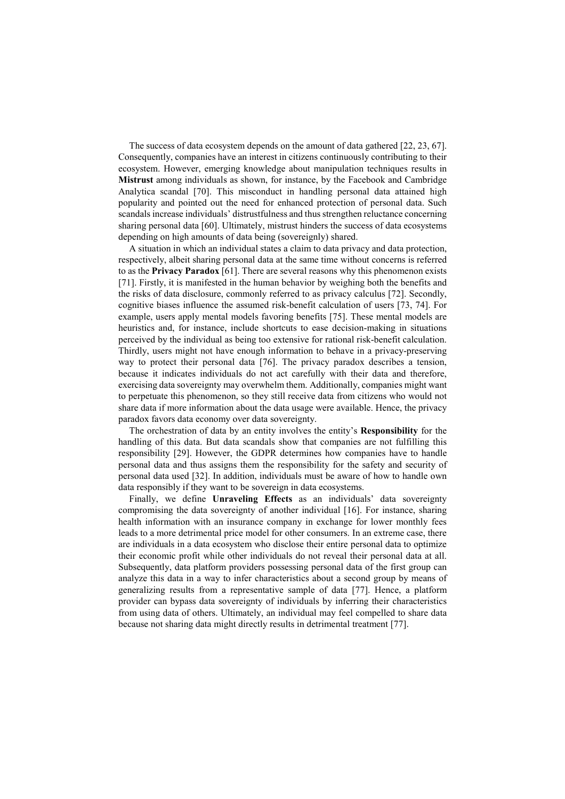The success of data ecosystem depends on the amount of data gathered [22, 23, 67]. Consequently, companies have an interest in citizens continuously contributing to their ecosystem. However, emerging knowledge about manipulation techniques results in **Mistrust** among individuals as shown, for instance, by the Facebook and Cambridge Analytica scandal [70]. This misconduct in handling personal data attained high popularity and pointed out the need for enhanced protection of personal data. Such scandals increase individuals' distrustfulness and thus strengthen reluctance concerning sharing personal data [60]. Ultimately, mistrust hinders the success of data ecosystems depending on high amounts of data being (sovereignly) shared.

A situation in which an individual states a claim to data privacy and data protection, respectively, albeit sharing personal data at the same time without concerns is referred to as the **Privacy Paradox** [61]. There are several reasons why this phenomenon exists [71]. Firstly, it is manifested in the human behavior by weighing both the benefits and the risks of data disclosure, commonly referred to as privacy calculus [72]. Secondly, cognitive biases influence the assumed risk-benefit calculation of users [73, 74]. For example, users apply mental models favoring benefits [75]. These mental models are heuristics and, for instance, include shortcuts to ease decision-making in situations perceived by the individual as being too extensive for rational risk-benefit calculation. Thirdly, users might not have enough information to behave in a privacy-preserving way to protect their personal data [76]. The privacy paradox describes a tension, because it indicates individuals do not act carefully with their data and therefore, exercising data sovereignty may overwhelm them. Additionally, companies might want to perpetuate this phenomenon, so they still receive data from citizens who would not share data if more information about the data usage were available. Hence, the privacy paradox favors data economy over data sovereignty.

The orchestration of data by an entity involves the entity's **Responsibility** for the handling of this data. But data scandals show that companies are not fulfilling this responsibility [29]. However, the GDPR determines how companies have to handle personal data and thus assigns them the responsibility for the safety and security of personal data used [32]. In addition, individuals must be aware of how to handle own data responsibly if they want to be sovereign in data ecosystems.

Finally, we define **Unraveling Effects** as an individuals' data sovereignty compromising the data sovereignty of another individual [16]. For instance, sharing health information with an insurance company in exchange for lower monthly fees leads to a more detrimental price model for other consumers. In an extreme case, there are individuals in a data ecosystem who disclose their entire personal data to optimize their economic profit while other individuals do not reveal their personal data at all. Subsequently, data platform providers possessing personal data of the first group can analyze this data in a way to infer characteristics about a second group by means of generalizing results from a representative sample of data [77]. Hence, a platform provider can bypass data sovereignty of individuals by inferring their characteristics from using data of others. Ultimately, an individual may feel compelled to share data because not sharing data might directly results in detrimental treatment [77].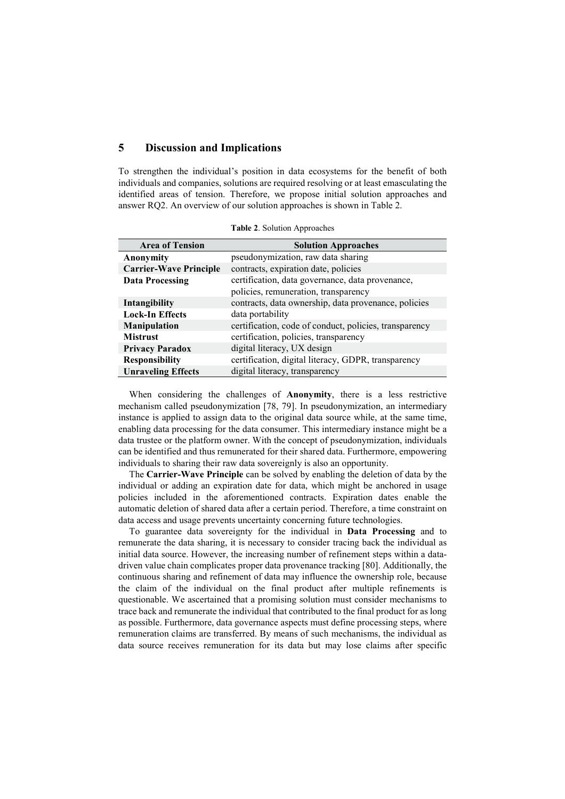# **5 Discussion and Implications**

To strengthen the individual's position in data ecosystems for the benefit of both individuals and companies, solutions are required resolving or at least emasculating the identified areas of tension. Therefore, we propose initial solution approaches and answer RQ2. An overview of our solution approaches is shown in Table 2.

| <b>Area of Tension</b>        | <b>Solution Approaches</b>                             |
|-------------------------------|--------------------------------------------------------|
| Anonymity                     | pseudonymization, raw data sharing                     |
| <b>Carrier-Wave Principle</b> | contracts, expiration date, policies                   |
| <b>Data Processing</b>        | certification, data governance, data provenance,       |
|                               | policies, remuneration, transparency                   |
| Intangibility                 | contracts, data ownership, data provenance, policies   |
| <b>Lock-In Effects</b>        | data portability                                       |
| <b>Manipulation</b>           | certification, code of conduct, policies, transparency |
| <b>Mistrust</b>               | certification, policies, transparency                  |
| <b>Privacy Paradox</b>        | digital literacy, UX design                            |
| <b>Responsibility</b>         | certification, digital literacy, GDPR, transparency    |
| <b>Unraveling Effects</b>     | digital literacy, transparency                         |

**Table 2**. Solution Approaches

When considering the challenges of **Anonymity**, there is a less restrictive mechanism called pseudonymization [78, 79]. In pseudonymization, an intermediary instance is applied to assign data to the original data source while, at the same time, enabling data processing for the data consumer. This intermediary instance might be a data trustee or the platform owner. With the concept of pseudonymization, individuals can be identified and thus remunerated for their shared data. Furthermore, empowering individuals to sharing their raw data sovereignly is also an opportunity.

The **Carrier-Wave Principle** can be solved by enabling the deletion of data by the individual or adding an expiration date for data, which might be anchored in usage policies included in the aforementioned contracts. Expiration dates enable the automatic deletion of shared data after a certain period. Therefore, a time constraint on data access and usage prevents uncertainty concerning future technologies.

To guarantee data sovereignty for the individual in **Data Processing** and to remunerate the data sharing, it is necessary to consider tracing back the individual as initial data source. However, the increasing number of refinement steps within a datadriven value chain complicates proper data provenance tracking [80]. Additionally, the continuous sharing and refinement of data may influence the ownership role, because the claim of the individual on the final product after multiple refinements is questionable. We ascertained that a promising solution must consider mechanisms to trace back and remunerate the individual that contributed to the final product for as long as possible. Furthermore, data governance aspects must define processing steps, where remuneration claims are transferred. By means of such mechanisms, the individual as data source receives remuneration for its data but may lose claims after specific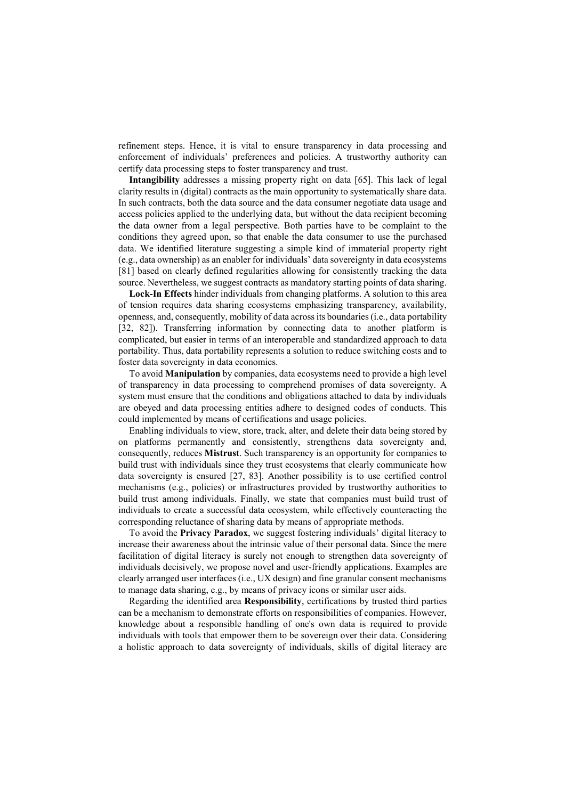refinement steps. Hence, it is vital to ensure transparency in data processing and enforcement of individuals' preferences and policies. A trustworthy authority can certify data processing steps to foster transparency and trust.

**Intangibility** addresses a missing property right on data [65]. This lack of legal clarity results in (digital) contracts as the main opportunity to systematically share data. In such contracts, both the data source and the data consumer negotiate data usage and access policies applied to the underlying data, but without the data recipient becoming the data owner from a legal perspective. Both parties have to be complaint to the conditions they agreed upon, so that enable the data consumer to use the purchased data. We identified literature suggesting a simple kind of immaterial property right (e.g., data ownership) as an enabler for individuals' data sovereignty in data ecosystems [81] based on clearly defined regularities allowing for consistently tracking the data source. Nevertheless, we suggest contracts as mandatory starting points of data sharing.

**Lock-In Effects** hinder individuals from changing platforms. A solution to this area of tension requires data sharing ecosystems emphasizing transparency, availability, openness, and, consequently, mobility of data across its boundaries (i.e., data portability [32, 82]). Transferring information by connecting data to another platform is complicated, but easier in terms of an interoperable and standardized approach to data portability. Thus, data portability represents a solution to reduce switching costs and to foster data sovereignty in data economies.

To avoid **Manipulation** by companies, data ecosystems need to provide a high level of transparency in data processing to comprehend promises of data sovereignty. A system must ensure that the conditions and obligations attached to data by individuals are obeyed and data processing entities adhere to designed codes of conducts. This could implemented by means of certifications and usage policies.

Enabling individuals to view, store, track, alter, and delete their data being stored by on platforms permanently and consistently, strengthens data sovereignty and, consequently, reduces **Mistrust**. Such transparency is an opportunity for companies to build trust with individuals since they trust ecosystems that clearly communicate how data sovereignty is ensured [27, 83]. Another possibility is to use certified control mechanisms (e.g., policies) or infrastructures provided by trustworthy authorities to build trust among individuals. Finally, we state that companies must build trust of individuals to create a successful data ecosystem, while effectively counteracting the corresponding reluctance of sharing data by means of appropriate methods.

To avoid the **Privacy Paradox**, we suggest fostering individuals' digital literacy to increase their awareness about the intrinsic value of their personal data. Since the mere facilitation of digital literacy is surely not enough to strengthen data sovereignty of individuals decisively, we propose novel and user-friendly applications. Examples are clearly arranged user interfaces (i.e., UX design) and fine granular consent mechanisms to manage data sharing, e.g., by means of privacy icons or similar user aids.

Regarding the identified area **Responsibility**, certifications by trusted third parties can be a mechanism to demonstrate efforts on responsibilities of companies. However, knowledge about a responsible handling of one's own data is required to provide individuals with tools that empower them to be sovereign over their data. Considering a holistic approach to data sovereignty of individuals, skills of digital literacy are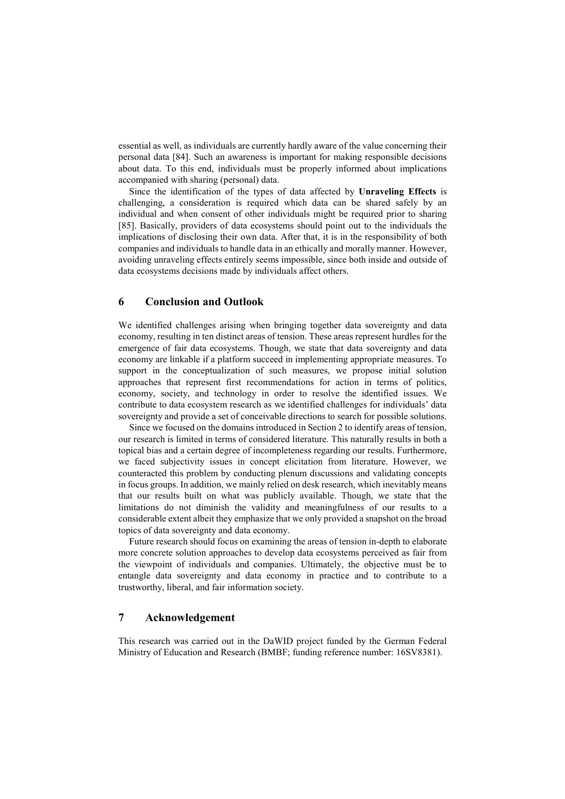essential as well, as individuals are currently hardly aware of the value concerning their personal data [84]. Such an awareness is important for making responsible decisions about data. To this end, individuals must be properly informed about implications accompanied with sharing (personal) data.

Since the identification of the types of data affected by **Unraveling Effects** is challenging, a consideration is required which data can be shared safely by an individual and when consent of other individuals might be required prior to sharing [85]. Basically, providers of data ecosystems should point out to the individuals the implications of disclosing their own data. After that, it is in the responsibility of both companies and individuals to handle data in an ethically and morally manner. However, avoiding unraveling effects entirely seems impossible, since both inside and outside of data ecosystems decisions made by individuals affect others.

### **6 Conclusion and Outlook**

We identified challenges arising when bringing together data sovereignty and data economy, resulting in ten distinct areas of tension. These areas represent hurdles for the emergence of fair data ecosystems. Though, we state that data sovereignty and data economy are linkable if a platform succeed in implementing appropriate measures. To support in the conceptualization of such measures, we propose initial solution approaches that represent first recommendations for action in terms of politics, economy, society, and technology in order to resolve the identified issues. We contribute to data ecosystem research as we identified challenges for individuals' data sovereignty and provide a set of conceivable directions to search for possible solutions.

Since we focused on the domains introduced in Section 2 to identify areas of tension, our research is limited in terms of considered literature. This naturally results in both a topical bias and a certain degree of incompleteness regarding our results. Furthermore, we faced subjectivity issues in concept elicitation from literature. However, we counteracted this problem by conducting plenum discussions and validating concepts in focus groups. In addition, we mainly relied on desk research, which inevitably means that our results built on what was publicly available. Though, we state that the limitations do not diminish the validity and meaningfulness of our results to a considerable extent albeit they emphasize that we only provided a snapshot on the broad topics of data sovereignty and data economy.

Future research should focus on examining the areas of tension in-depth to elaborate more concrete solution approaches to develop data ecosystems perceived as fair from the viewpoint of individuals and companies. Ultimately, the objective must be to entangle data sovereignty and data economy in practice and to contribute to a trustworthy, liberal, and fair information society.

# **7 Acknowledgement**

This research was carried out in the DaWID project funded by the German Federal Ministry of Education and Research (BMBF; funding reference number: 16SV8381).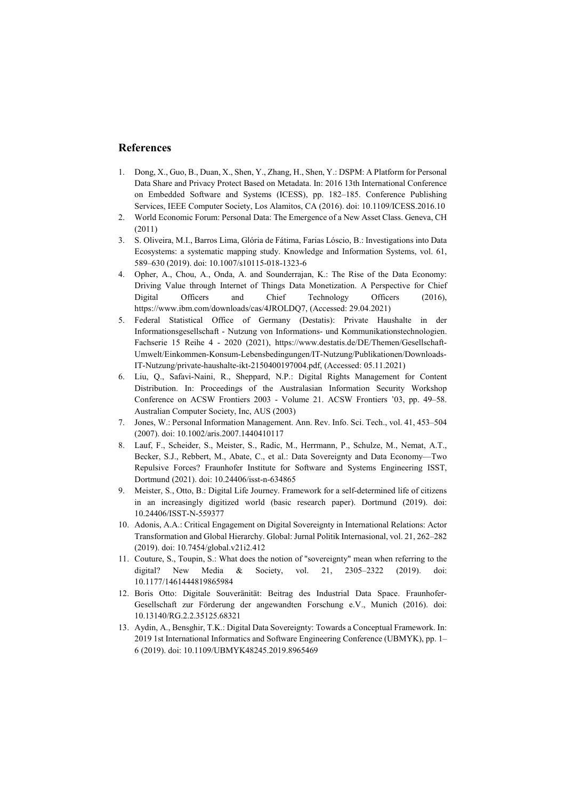# **References**

- 1. Dong, X., Guo, B., Duan, X., Shen, Y., Zhang, H., Shen, Y.: DSPM: A Platform for Personal Data Share and Privacy Protect Based on Metadata. In: 2016 13th International Conference on Embedded Software and Systems (ICESS), pp. 182–185. Conference Publishing Services, IEEE Computer Society, Los Alamitos, CA (2016). doi: 10.1109/ICESS.2016.10
- 2. World Economic Forum: Personal Data: The Emergence of a New Asset Class. Geneva, CH (2011)
- 3. S. Oliveira, M.I., Barros Lima, Glória de Fátima, Farias Lóscio, B.: Investigations into Data Ecosystems: a systematic mapping study. Knowledge and Information Systems, vol. 61, 589–630 (2019). doi: 10.1007/s10115-018-1323-6
- 4. Opher, A., Chou, A., Onda, A. and Sounderrajan, K.: The Rise of the Data Economy: Driving Value through Internet of Things Data Monetization. A Perspective for Chief Digital Officers and Chief Technology Officers (2016), https://www.ibm.com/downloads/cas/4JROLDQ7, (Accessed: 29.04.2021)
- 5. Federal Statistical Office of Germany (Destatis): Private Haushalte in der Informationsgesellschaft - Nutzung von Informations- und Kommunikationstechnologien. Fachserie 15 Reihe 4 - 2020 (2021), https://www.destatis.de/DE/Themen/Gesellschaft-Umwelt/Einkommen-Konsum-Lebensbedingungen/IT-Nutzung/Publikationen/Downloads-IT-Nutzung/private-haushalte-ikt-2150400197004.pdf, (Accessed: 05.11.2021)
- 6. Liu, Q., Safavi-Naini, R., Sheppard, N.P.: Digital Rights Management for Content Distribution. In: Proceedings of the Australasian Information Security Workshop Conference on ACSW Frontiers 2003 - Volume 21. ACSW Frontiers '03, pp. 49–58. Australian Computer Society, Inc, AUS (2003)
- 7. Jones, W.: Personal Information Management. Ann. Rev. Info. Sci. Tech., vol. 41, 453–504 (2007). doi: 10.1002/aris.2007.1440410117
- 8. Lauf, F., Scheider, S., Meister, S., Radic, M., Herrmann, P., Schulze, M., Nemat, A.T., Becker, S.J., Rebbert, M., Abate, C., et al.: Data Sovereignty and Data Economy—Two Repulsive Forces? Fraunhofer Institute for Software and Systems Engineering ISST, Dortmund (2021). doi: 10.24406/isst-n-634865
- 9. Meister, S., Otto, B.: Digital Life Journey. Framework for a self-determined life of citizens in an increasingly digitized world (basic research paper). Dortmund (2019). doi: 10.24406/ISST-N-559377
- 10. Adonis, A.A.: Critical Engagement on Digital Sovereignty in International Relations: Actor Transformation and Global Hierarchy. Global: Jurnal Politik Internasional, vol. 21, 262–282 (2019). doi: 10.7454/global.v21i2.412
- 11. Couture, S., Toupin, S.: What does the notion of "sovereignty" mean when referring to the digital? New Media & Society, vol. 21, 2305–2322 (2019). doi: 10.1177/1461444819865984
- 12. Boris Otto: Digitale Souveränität: Beitrag des Industrial Data Space. Fraunhofer-Gesellschaft zur Förderung der angewandten Forschung e.V., Munich (2016). doi: 10.13140/RG.2.2.35125.68321
- 13. Aydin, A., Bensghir, T.K.: Digital Data Sovereignty: Towards a Conceptual Framework. In: 2019 1st International Informatics and Software Engineering Conference (UBMYK), pp. 1– 6 (2019). doi: 10.1109/UBMYK48245.2019.8965469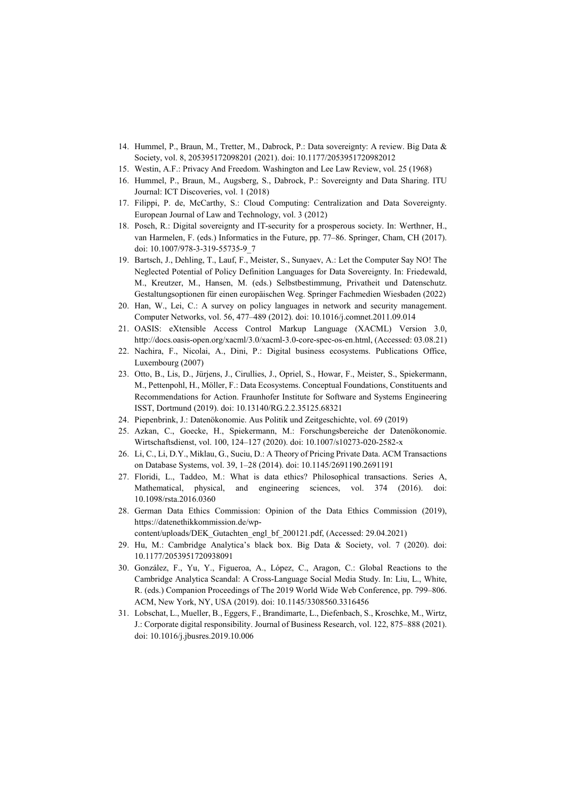- 14. Hummel, P., Braun, M., Tretter, M., Dabrock, P.: Data sovereignty: A review. Big Data & Society, vol. 8, 205395172098201 (2021). doi: 10.1177/2053951720982012
- 15. Westin, A.F.: Privacy And Freedom. Washington and Lee Law Review, vol. 25 (1968)
- 16. Hummel, P., Braun, M., Augsberg, S., Dabrock, P.: Sovereignty and Data Sharing. ITU Journal: ICT Discoveries, vol. 1 (2018)
- 17. Filippi, P. de, McCarthy, S.: Cloud Computing: Centralization and Data Sovereignty. European Journal of Law and Technology, vol. 3 (2012)
- 18. Posch, R.: Digital sovereignty and IT-security for a prosperous society. In: Werthner, H., van Harmelen, F. (eds.) Informatics in the Future, pp. 77–86. Springer, Cham, CH (2017). doi: 10.1007/978-3-319-55735-9\_7
- 19. Bartsch, J., Dehling, T., Lauf, F., Meister, S., Sunyaev, A.: Let the Computer Say NO! The Neglected Potential of Policy Definition Languages for Data Sovereignty. In: Friedewald, M., Kreutzer, M., Hansen, M. (eds.) Selbstbestimmung, Privatheit und Datenschutz. Gestaltungsoptionen für einen europäischen Weg. Springer Fachmedien Wiesbaden (2022)
- 20. Han, W., Lei, C.: A survey on policy languages in network and security management. Computer Networks, vol. 56, 477–489 (2012). doi: 10.1016/j.comnet.2011.09.014
- 21. OASIS: eXtensible Access Control Markup Language (XACML) Version 3.0, http://docs.oasis-open.org/xacml/3.0/xacml-3.0-core-spec-os-en.html, (Accessed: 03.08.21)
- 22. Nachira, F., Nicolai, A., Dini, P.: Digital business ecosystems. Publications Office, Luxembourg (2007)
- 23. Otto, B., Lis, D., Jürjens, J., Cirullies, J., Opriel, S., Howar, F., Meister, S., Spiekermann, M., Pettenpohl, H., Möller, F.: Data Ecosystems. Conceptual Foundations, Constituents and Recommendations for Action. Fraunhofer Institute for Software and Systems Engineering ISST, Dortmund (2019). doi: 10.13140/RG.2.2.35125.68321
- 24. Piepenbrink, J.: Datenökonomie. Aus Politik und Zeitgeschichte, vol. 69 (2019)
- 25. Azkan, C., Goecke, H., Spiekermann, M.: Forschungsbereiche der Datenökonomie. Wirtschaftsdienst, vol. 100, 124–127 (2020). doi: 10.1007/s10273-020-2582-x
- 26. Li, C., Li, D.Y., Miklau, G., Suciu, D.: A Theory of Pricing Private Data. ACM Transactions on Database Systems, vol. 39, 1–28 (2014). doi: 10.1145/2691190.2691191
- 27. Floridi, L., Taddeo, M.: What is data ethics? Philosophical transactions. Series A, Mathematical, physical, and engineering sciences, vol. 374 (2016). doi: 10.1098/rsta.2016.0360
- 28. German Data Ethics Commission: Opinion of the Data Ethics Commission (2019), https://datenethikkommission.de/wp
	- content/uploads/DEK\_Gutachten\_engl\_bf\_200121.pdf, (Accessed: 29.04.2021)
- 29. Hu, M.: Cambridge Analytica's black box. Big Data & Society, vol. 7 (2020). doi: 10.1177/2053951720938091
- 30. González, F., Yu, Y., Figueroa, A., López, C., Aragon, C.: Global Reactions to the Cambridge Analytica Scandal: A Cross-Language Social Media Study. In: Liu, L., White, R. (eds.) Companion Proceedings of The 2019 World Wide Web Conference, pp. 799–806. ACM, New York, NY, USA (2019). doi: 10.1145/3308560.3316456
- 31. Lobschat, L., Mueller, B., Eggers, F., Brandimarte, L., Diefenbach, S., Kroschke, M., Wirtz, J.: Corporate digital responsibility. Journal of Business Research, vol. 122, 875–888 (2021). doi: 10.1016/j.jbusres.2019.10.006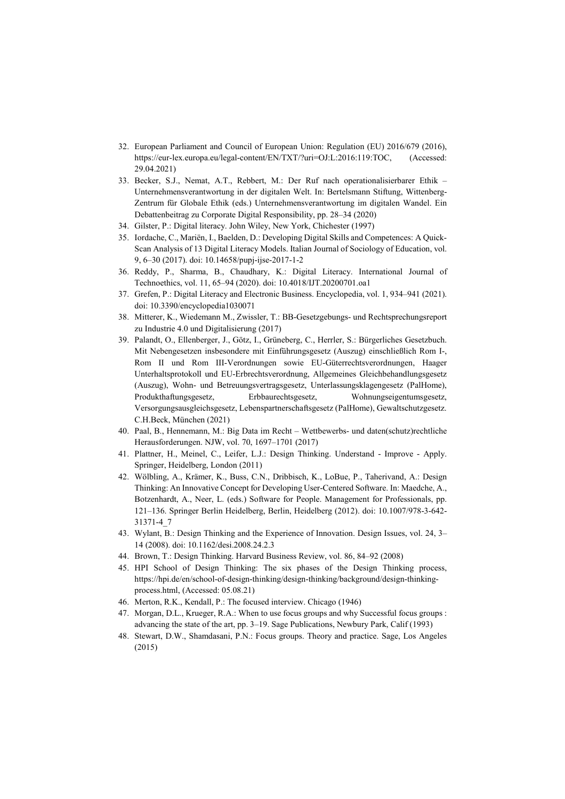- 32. European Parliament and Council of European Union: Regulation (EU) 2016/679 (2016), https://eur-lex.europa.eu/legal-content/EN/TXT/?uri=OJ:L:2016:119:TOC, (Accessed: 29.04.2021)
- 33. Becker, S.J., Nemat, A.T., Rebbert, M.: Der Ruf nach operationalisierbarer Ethik Unternehmensverantwortung in der digitalen Welt. In: Bertelsmann Stiftung, Wittenberg-Zentrum für Globale Ethik (eds.) Unternehmensverantwortung im digitalen Wandel. Ein Debattenbeitrag zu Corporate Digital Responsibility, pp. 28–34 (2020)
- 34. Gilster, P.: Digital literacy. John Wiley, New York, Chichester (1997)
- 35. Iordache, C., Mariën, I., Baelden, D.: Developing Digital Skills and Competences: A Quick-Scan Analysis of 13 Digital Literacy Models. Italian Journal of Sociology of Education, vol. 9, 6–30 (2017). doi: 10.14658/pupj-ijse-2017-1-2
- 36. Reddy, P., Sharma, B., Chaudhary, K.: Digital Literacy. International Journal of Technoethics, vol. 11, 65–94 (2020). doi: 10.4018/IJT.20200701.oa1
- 37. Grefen, P.: Digital Literacy and Electronic Business. Encyclopedia, vol. 1, 934–941 (2021). doi: 10.3390/encyclopedia1030071
- 38. Mitterer, K., Wiedemann M., Zwissler, T.: BB-Gesetzgebungs- und Rechtsprechungsreport zu Industrie 4.0 und Digitalisierung (2017)
- 39. Palandt, O., Ellenberger, J., Götz, I., Grüneberg, C., Herrler, S.: Bürgerliches Gesetzbuch. Mit Nebengesetzen insbesondere mit Einführungsgesetz (Auszug) einschließlich Rom I-, Rom II und Rom III-Verordnungen sowie EU-Güterrechtsverordnungen, Haager Unterhaltsprotokoll und EU-Erbrechtsverordnung, Allgemeines Gleichbehandlungsgesetz (Auszug), Wohn- und Betreuungsvertragsgesetz, Unterlassungsklagengesetz (PalHome), Produkthaftungsgesetz, Erbbaurechtsgesetz, Wohnungseigentumsgesetz, Versorgungsausgleichsgesetz, Lebenspartnerschaftsgesetz (PalHome), Gewaltschutzgesetz. C.H.Beck, München (2021)
- 40. Paal, B., Hennemann, M.: Big Data im Recht Wettbewerbs- und daten(schutz)rechtliche Herausforderungen. NJW, vol. 70, 1697–1701 (2017)
- 41. Plattner, H., Meinel, C., Leifer, L.J.: Design Thinking. Understand Improve Apply. Springer, Heidelberg, London (2011)
- 42. Wölbling, A., Krämer, K., Buss, C.N., Dribbisch, K., LoBue, P., Taherivand, A.: Design Thinking: An Innovative Concept for Developing User-Centered Software. In: Maedche, A., Botzenhardt, A., Neer, L. (eds.) Software for People. Management for Professionals, pp. 121–136. Springer Berlin Heidelberg, Berlin, Heidelberg (2012). doi: 10.1007/978-3-642- 31371-4\_7
- 43. Wylant, B.: Design Thinking and the Experience of Innovation. Design Issues, vol. 24, 3– 14 (2008). doi: 10.1162/desi.2008.24.2.3
- 44. Brown, T.: Design Thinking. Harvard Business Review, vol. 86, 84–92 (2008)
- 45. HPI School of Design Thinking: The six phases of the Design Thinking process, https://hpi.de/en/school-of-design-thinking/design-thinking/background/design-thinkingprocess.html, (Accessed: 05.08.21)
- 46. Merton, R.K., Kendall, P.: The focused interview. Chicago (1946)
- 47. Morgan, D.L., Krueger, R.A.: When to use focus groups and why Successful focus groups : advancing the state of the art, pp. 3–19. Sage Publications, Newbury Park, Calif (1993)
- 48. Stewart, D.W., Shamdasani, P.N.: Focus groups. Theory and practice. Sage, Los Angeles (2015)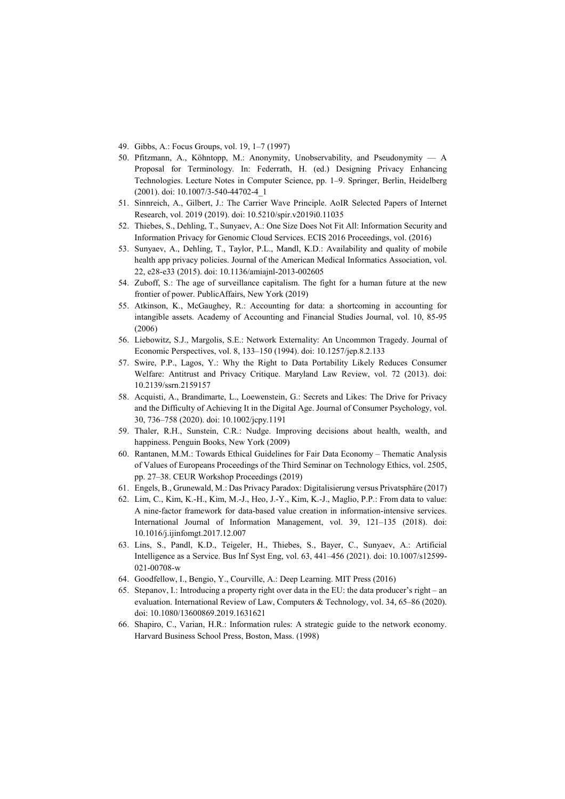- 49. Gibbs, A.: Focus Groups, vol. 19, 1–7 (1997)
- 50. Pfitzmann, A., Köhntopp, M.: Anonymity, Unobservability, and Pseudonymity A Proposal for Terminology. In: Federrath, H. (ed.) Designing Privacy Enhancing Technologies. Lecture Notes in Computer Science, pp. 1–9. Springer, Berlin, Heidelberg (2001). doi: 10.1007/3-540-44702-4\_1
- 51. Sinnreich, A., Gilbert, J.: The Carrier Wave Principle. AoIR Selected Papers of Internet Research, vol. 2019 (2019). doi: 10.5210/spir.v2019i0.11035
- 52. Thiebes, S., Dehling, T., Sunyaev, A.: One Size Does Not Fit All: Information Security and Information Privacy for Genomic Cloud Services. ECIS 2016 Proceedings, vol. (2016)
- 53. Sunyaev, A., Dehling, T., Taylor, P.L., Mandl, K.D.: Availability and quality of mobile health app privacy policies. Journal of the American Medical Informatics Association, vol. 22, e28‐e33 (2015). doi: 10.1136/amiajnl-2013-002605
- 54. Zuboff, S.: The age of surveillance capitalism. The fight for a human future at the new frontier of power. PublicAffairs, New York (2019)
- 55. Atkinson, K., McGaughey, R.: Accounting for data: a shortcoming in accounting for intangible assets. Academy of Accounting and Financial Studies Journal, vol. 10, 85-95 (2006)
- 56. Liebowitz, S.J., Margolis, S.E.: Network Externality: An Uncommon Tragedy. Journal of Economic Perspectives, vol. 8, 133–150 (1994). doi: 10.1257/jep.8.2.133
- 57. Swire, P.P., Lagos, Y.: Why the Right to Data Portability Likely Reduces Consumer Welfare: Antitrust and Privacy Critique. Maryland Law Review, vol. 72 (2013). doi: 10.2139/ssrn.2159157
- 58. Acquisti, A., Brandimarte, L., Loewenstein, G.: Secrets and Likes: The Drive for Privacy and the Difficulty of Achieving It in the Digital Age. Journal of Consumer Psychology, vol. 30, 736–758 (2020). doi: 10.1002/jcpy.1191
- 59. Thaler, R.H., Sunstein, C.R.: Nudge. Improving decisions about health, wealth, and happiness. Penguin Books, New York (2009)
- 60. Rantanen, M.M.: Towards Ethical Guidelines for Fair Data Economy Thematic Analysis of Values of Europeans Proceedings of the Third Seminar on Technology Ethics, vol. 2505, pp. 27–38. CEUR Workshop Proceedings (2019)
- 61. Engels, B., Grunewald, M.: Das Privacy Paradox: Digitalisierung versus Privatsphäre (2017)
- 62. Lim, C., Kim, K.-H., Kim, M.-J., Heo, J.-Y., Kim, K.-J., Maglio, P.P.: From data to value: A nine-factor framework for data-based value creation in information-intensive services. International Journal of Information Management, vol. 39, 121–135 (2018). doi: 10.1016/j.ijinfomgt.2017.12.007
- 63. Lins, S., Pandl, K.D., Teigeler, H., Thiebes, S., Bayer, C., Sunyaev, A.: Artificial Intelligence as a Service. Bus Inf Syst Eng, vol. 63, 441–456 (2021). doi: 10.1007/s12599- 021-00708-w
- 64. Goodfellow, I., Bengio, Y., Courville, A.: Deep Learning. MIT Press (2016)
- 65. Stepanov, I.: Introducing a property right over data in the EU: the data producer's right an evaluation. International Review of Law, Computers & Technology, vol. 34, 65–86 (2020). doi: 10.1080/13600869.2019.1631621
- 66. Shapiro, C., Varian, H.R.: Information rules: A strategic guide to the network economy. Harvard Business School Press, Boston, Mass. (1998)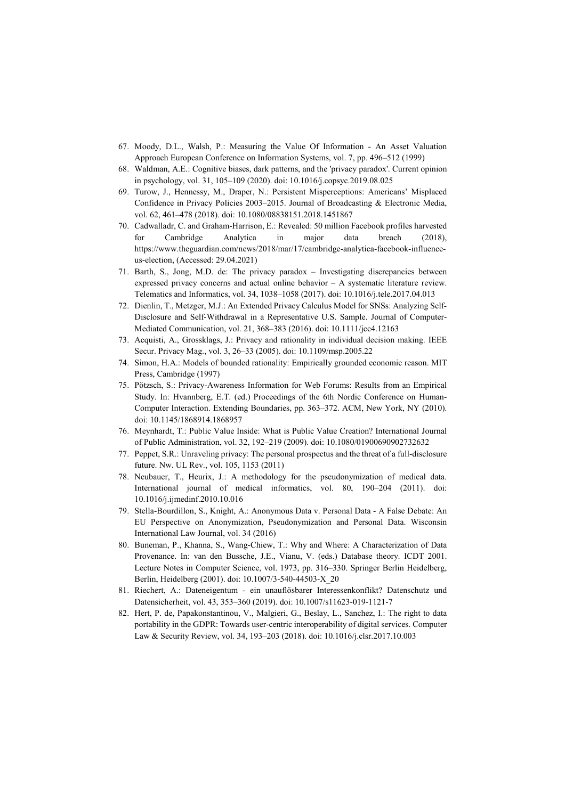- 67. Moody, D.L., Walsh, P.: Measuring the Value Of Information An Asset Valuation Approach European Conference on Information Systems, vol. 7, pp. 496–512 (1999)
- 68. Waldman, A.E.: Cognitive biases, dark patterns, and the 'privacy paradox'. Current opinion in psychology, vol. 31, 105–109 (2020). doi: 10.1016/j.copsyc.2019.08.025
- 69. Turow, J., Hennessy, M., Draper, N.: Persistent Misperceptions: Americans' Misplaced Confidence in Privacy Policies 2003–2015. Journal of Broadcasting & Electronic Media, vol. 62, 461–478 (2018). doi: 10.1080/08838151.2018.1451867
- 70. Cadwalladr, C. and Graham-Harrison, E.: Revealed: 50 million Facebook profiles harvested for Cambridge Analytica in major data breach (2018), https://www.theguardian.com/news/2018/mar/17/cambridge-analytica-facebook-influenceus-election, (Accessed: 29.04.2021)
- 71. Barth, S., Jong, M.D. de: The privacy paradox Investigating discrepancies between expressed privacy concerns and actual online behavior – A systematic literature review. Telematics and Informatics, vol. 34, 1038–1058 (2017). doi: 10.1016/j.tele.2017.04.013
- 72. Dienlin, T., Metzger, M.J.: An Extended Privacy Calculus Model for SNSs: Analyzing Self-Disclosure and Self-Withdrawal in a Representative U.S. Sample. Journal of Computer-Mediated Communication, vol. 21, 368–383 (2016). doi: 10.1111/jcc4.12163
- 73. Acquisti, A., Grossklags, J.: Privacy and rationality in individual decision making. IEEE Secur. Privacy Mag., vol. 3, 26–33 (2005). doi: 10.1109/msp.2005.22
- 74. Simon, H.A.: Models of bounded rationality: Empirically grounded economic reason. MIT Press, Cambridge (1997)
- 75. Pötzsch, S.: Privacy-Awareness Information for Web Forums: Results from an Empirical Study. In: Hvannberg, E.T. (ed.) Proceedings of the 6th Nordic Conference on Human-Computer Interaction. Extending Boundaries, pp. 363–372. ACM, New York, NY (2010). doi: 10.1145/1868914.1868957
- 76. Meynhardt, T.: Public Value Inside: What is Public Value Creation? International Journal of Public Administration, vol. 32, 192–219 (2009). doi: 10.1080/01900690902732632
- 77. Peppet, S.R.: Unraveling privacy: The personal prospectus and the threat of a full-disclosure future. Nw. UL Rev., vol. 105, 1153 (2011)
- 78. Neubauer, T., Heurix, J.: A methodology for the pseudonymization of medical data. International journal of medical informatics, vol. 80, 190–204 (2011). doi: 10.1016/j.ijmedinf.2010.10.016
- 79. Stella-Bourdillon, S., Knight, A.: Anonymous Data v. Personal Data A False Debate: An EU Perspective on Anonymization, Pseudonymization and Personal Data. Wisconsin International Law Journal, vol. 34 (2016)
- 80. Buneman, P., Khanna, S., Wang-Chiew, T.: Why and Where: A Characterization of Data Provenance. In: van den Bussche, J.E., Vianu, V. (eds.) Database theory. ICDT 2001. Lecture Notes in Computer Science, vol. 1973, pp. 316–330. Springer Berlin Heidelberg, Berlin, Heidelberg (2001). doi: 10.1007/3-540-44503-X\_20
- 81. Riechert, A.: Dateneigentum ein unauflösbarer Interessenkonflikt? Datenschutz und Datensicherheit, vol. 43, 353–360 (2019). doi: 10.1007/s11623-019-1121-7
- 82. Hert, P. de, Papakonstantinou, V., Malgieri, G., Beslay, L., Sanchez, I.: The right to data portability in the GDPR: Towards user-centric interoperability of digital services. Computer Law & Security Review, vol. 34, 193–203 (2018). doi: 10.1016/j.clsr.2017.10.003